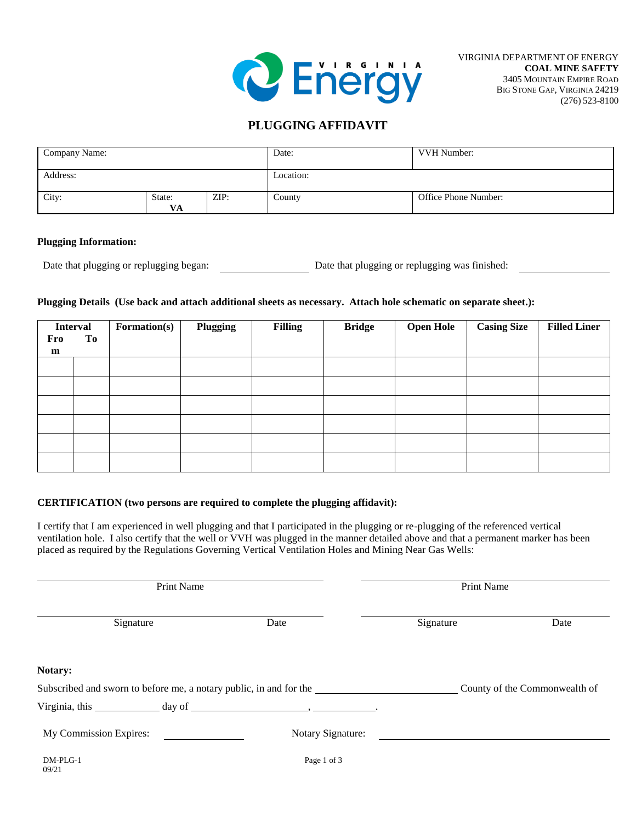

## **PLUGGING AFFIDAVIT**

| Company Name:                 |  |        | Date:                | <b>VVH Number:</b> |  |
|-------------------------------|--|--------|----------------------|--------------------|--|
| Address:                      |  |        | Location:            |                    |  |
| City:<br>ZIP:<br>State:<br>VA |  | County | Office Phone Number: |                    |  |

#### **Plugging Information:**

Date that plugging or replugging began: Date that plugging or replugging was finished:

### **Plugging Details (Use back and attach additional sheets as necessary. Attach hole schematic on separate sheet.):**

| Fro<br>$\mathbf{m}$ | <b>Interval</b><br>To | Formation(s) | Plugging | <b>Filling</b> | <b>Bridge</b> | <b>Open Hole</b> | <b>Casing Size</b> | <b>Filled Liner</b> |
|---------------------|-----------------------|--------------|----------|----------------|---------------|------------------|--------------------|---------------------|
|                     |                       |              |          |                |               |                  |                    |                     |
|                     |                       |              |          |                |               |                  |                    |                     |
|                     |                       |              |          |                |               |                  |                    |                     |
|                     |                       |              |          |                |               |                  |                    |                     |
|                     |                       |              |          |                |               |                  |                    |                     |
|                     |                       |              |          |                |               |                  |                    |                     |

### **CERTIFICATION (two persons are required to complete the plugging affidavit):**

I certify that I am experienced in well plugging and that I participated in the plugging or re-plugging of the referenced vertical ventilation hole. I also certify that the well or VVH was plugged in the manner detailed above and that a permanent marker has been placed as required by the Regulations Governing Vertical Ventilation Holes and Mining Near Gas Wells:

|                        | Print Name |                                                                    | Print Name |                               |  |  |
|------------------------|------------|--------------------------------------------------------------------|------------|-------------------------------|--|--|
| Signature              |            | Date                                                               | Signature  | Date                          |  |  |
| Notary:                |            |                                                                    |            |                               |  |  |
|                        |            | Subscribed and sworn to before me, a notary public, in and for the |            | County of the Commonwealth of |  |  |
|                        |            |                                                                    |            |                               |  |  |
| My Commission Expires: |            | Notary Signature:                                                  |            |                               |  |  |
| DM-PLG-1<br>09/21      |            | Page 1 of 3                                                        |            |                               |  |  |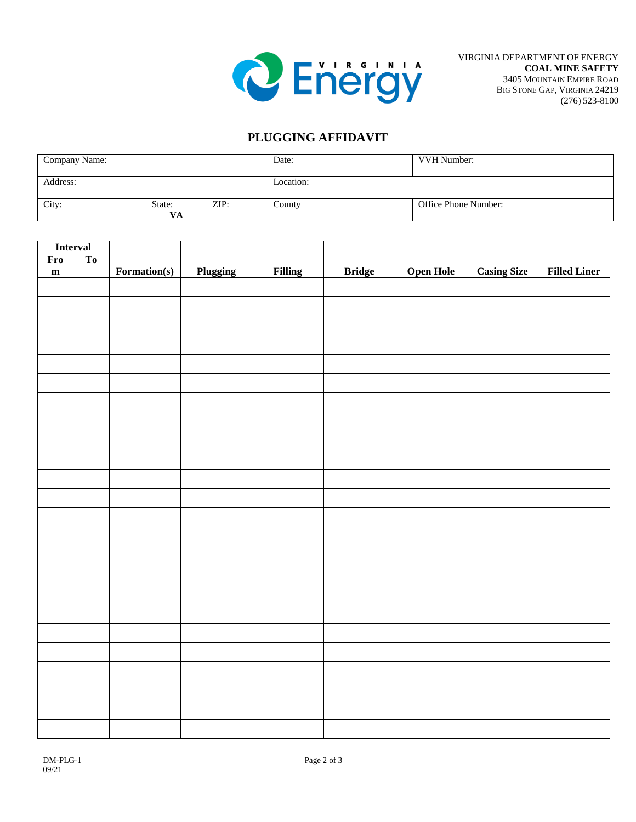

# **PLUGGING AFFIDAVIT**

| Company Name:                 |  |        | Date:                | VVH Number: |  |
|-------------------------------|--|--------|----------------------|-------------|--|
| Address:                      |  |        | Location:            |             |  |
| City:<br>ZIP:<br>State:<br>VA |  | County | Office Phone Number: |             |  |

| <b>Interval</b> |    |              |          |                |               |                  |                    |                     |
|-----------------|----|--------------|----------|----------------|---------------|------------------|--------------------|---------------------|
| Fro             | To |              |          |                |               |                  |                    |                     |
| $\mathbf{m}$    |    | Formation(s) | Plugging | <b>Filling</b> | <b>Bridge</b> | <b>Open Hole</b> | <b>Casing Size</b> | <b>Filled Liner</b> |
|                 |    |              |          |                |               |                  |                    |                     |
|                 |    |              |          |                |               |                  |                    |                     |
|                 |    |              |          |                |               |                  |                    |                     |
|                 |    |              |          |                |               |                  |                    |                     |
|                 |    |              |          |                |               |                  |                    |                     |
|                 |    |              |          |                |               |                  |                    |                     |
|                 |    |              |          |                |               |                  |                    |                     |
|                 |    |              |          |                |               |                  |                    |                     |
|                 |    |              |          |                |               |                  |                    |                     |
|                 |    |              |          |                |               |                  |                    |                     |
|                 |    |              |          |                |               |                  |                    |                     |
|                 |    |              |          |                |               |                  |                    |                     |
|                 |    |              |          |                |               |                  |                    |                     |
|                 |    |              |          |                |               |                  |                    |                     |
|                 |    |              |          |                |               |                  |                    |                     |
|                 |    |              |          |                |               |                  |                    |                     |
|                 |    |              |          |                |               |                  |                    |                     |
|                 |    |              |          |                |               |                  |                    |                     |
|                 |    |              |          |                |               |                  |                    |                     |
|                 |    |              |          |                |               |                  |                    |                     |
|                 |    |              |          |                |               |                  |                    |                     |
|                 |    |              |          |                |               |                  |                    |                     |
|                 |    |              |          |                |               |                  |                    |                     |
|                 |    |              |          |                |               |                  |                    |                     |
|                 |    |              |          |                |               |                  |                    |                     |